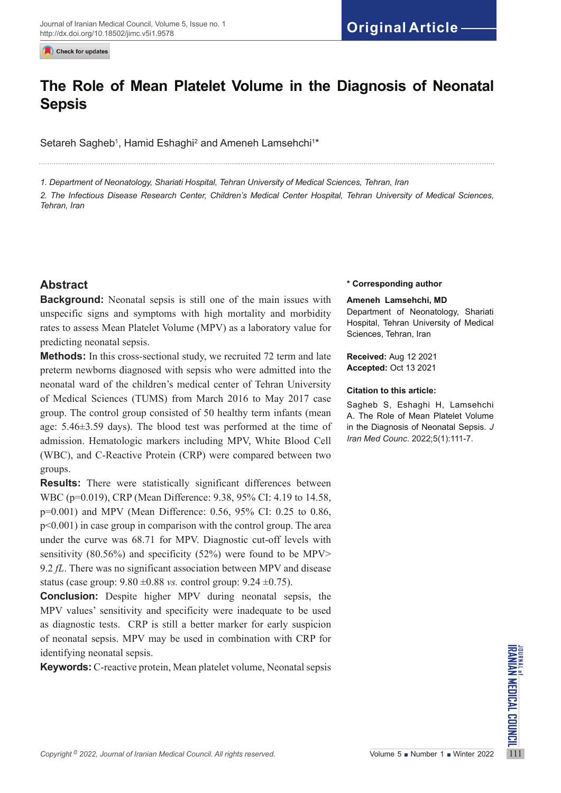Check for updates

# **The Role of Mean Platelet Volume in the Diagnosis of Neonatal Sepsis**

Setareh Sagheb<sup>1</sup>, Hamid Eshaghi<sup>2</sup> and Ameneh Lamsehchi<sup>1</sup>\*

*1. Department of Neonatology, Shariati Hospital, Tehran University of Medical Sciences, Tehran, Iran*

*2. The Infectious Disease Research Center, Children's Medical Center Hospital, Tehran University of Medical Sciences, Tehran, Iran*

# **Abstract**

**Background:** Neonatal sepsis is still one of the main issues with unspecific signs and symptoms with high mortality and morbidity rates to assess Mean Platelet Volume (MPV) as a laboratory value for predicting neonatal sepsis.

**Methods:** In this cross-sectional study, we recruited 72 term and late preterm newborns diagnosed with sepsis who were admitted into the neonatal ward of the children's medical center of Tehran University of Medical Sciences (TUMS) from March 2016 to May 2017 case group. The control group consisted of 50 healthy term infants (mean age: 5.46±3.59 days). The blood test was performed at the time of admission. Hematologic markers including MPV, White Blood Cell (WBC), and C-Reactive Protein (CRP) were compared between two groups.

**Results:** There were statistically significant differences between WBC (p=0.019), CRP (Mean Difference: 9.38, 95% CI: 4.19 to 14.58, p=0.001) and MPV (Mean Difference: 0.56, 95% CI: 0.25 to 0.86, p<0.001) in case group in comparison with the control group. The area under the curve was 68.71 for MPV. Diagnostic cut-off levels with sensitivity (80.56%) and specificity (52%) were found to be MPV> 9.2 *fL*. There was no significant association between MPV and disease status (case group: 9.80 ±0.88 *vs.* control group: 9.24 ±0.75).

*Copyright* <sup>9</sup> 2022, Journal of Iranian Medical Council. All rights reserved.<br>
Copyright<sup>9</sup> 2022, Journal of Iranian Medical Council. All rights reserved.<br>
Volume 5 Number 1 Number 1 Winter 2022 **Conclusion:** Despite higher MPV during neonatal sepsis, the MPV values' sensitivity and specificity were inadequate to be used as diagnostic tests. CRP is still a better marker for early suspicion of neonatal sepsis. MPV may be used in combination with CRP for identifying neonatal sepsis.

**Keywords:** C-reactive protein, Mean platelet volume, Neonatal sepsis

#### **\* Corresponding author**

#### **Ameneh Lamsehchi, MD**

Department of Neonatology, Shariati Hospital, Tehran University of Medical Sciences, Tehran, Iran

**Received:** Aug 12 2021 **Accepted:** Oct 13 2021

### **Citation to this article:**

Sagheb S, Eshaghi H, Lamsehchi A. The Role of Mean Platelet Volume in the Diagnosis of Neonatal Sepsis. *J Iran Med Counc*. 2022;5(1):111-7.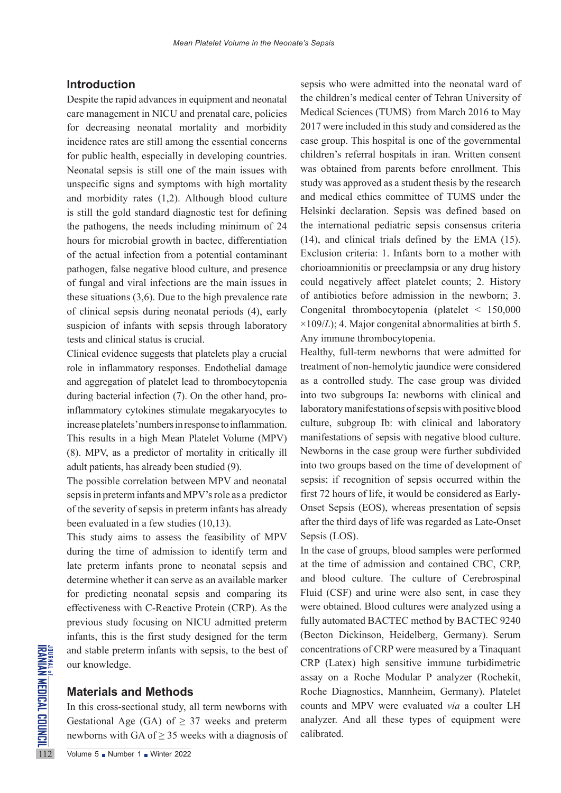## **Introduction**

Despite the rapid advances in equipment and neonatal care management in NICU and prenatal care, policies for decreasing neonatal mortality and morbidity incidence rates are still among the essential concerns for public health, especially in developing countries. Neonatal sepsis is still one of the main issues with unspecific signs and symptoms with high mortality and morbidity rates (1,2). Although blood culture is still the gold standard diagnostic test for defining the pathogens, the needs including minimum of 24 hours for microbial growth in bactec, differentiation of the actual infection from a potential contaminant pathogen, false negative blood culture, and presence of fungal and viral infections are the main issues in these situations (3,6). Due to the high prevalence rate of clinical sepsis during neonatal periods (4), early suspicion of infants with sepsis through laboratory tests and clinical status is crucial.

Clinical evidence suggests that platelets play a crucial role in inflammatory responses. Endothelial damage and aggregation of platelet lead to thrombocytopenia during bacterial infection (7). On the other hand, proinflammatory cytokines stimulate megakaryocytes to increase platelets' numbers in response to inflammation. This results in a high Mean Platelet Volume (MPV) (8). MPV, as a predictor of mortality in critically ill adult patients, has already been studied (9).

The possible correlation between MPV and neonatal sepsis in preterm infants and MPV's role as a predictor of the severity of sepsis in preterm infants has already been evaluated in a few studies (10,13).

This study aims to assess the feasibility of MPV during the time of admission to identify term and late preterm infants prone to neonatal sepsis and determine whether it can serve as an available marker for predicting neonatal sepsis and comparing its effectiveness with C-Reactive Protein (CRP). As the previous study focusing on NICU admitted preterm infants, this is the first study designed for the term and stable preterm infants with sepsis, to the best of our knowledge.

### **Materials and Methods**

and stable preterm infants wit<br>
says our knowledge.<br> **Materials and Methods**<br>
In this cross-sectional study, a<br>
Gestational Age (GA) of  $\geq$  2.<br>
newborns with GA of  $\geq$  35 we<br>
Volume 5 Number 1 Number 2022 In this cross-sectional study, all term newborns with Gestational Age (GA) of  $\geq$  37 weeks and preterm newborns with GA of  $\geq$  35 weeks with a diagnosis of sepsis who were admitted into the neonatal ward of the children's medical center of Tehran University of Medical Sciences (TUMS) from March 2016 to May 2017 were included in this study and considered as the case group. This hospital is one of the governmental children's referral hospitals in iran. Written consent was obtained from parents before enrollment. This study was approved as a student thesis by the research and medical ethics committee of TUMS under the Helsinki declaration. Sepsis was defined based on the international pediatric sepsis consensus criteria (14), and clinical trials defined by the EMA (15). Exclusion criteria: 1. Infants born to a mother with chorioamnionitis or preeclampsia or any drug history could negatively affect platelet counts; 2. History of antibiotics before admission in the newborn; 3. Congenital thrombocytopenia (platelet < 150,000  $\times$ 109/*L*); 4. Major congenital abnormalities at birth 5. Any immune thrombocytopenia.

Healthy, full-term newborns that were admitted for treatment of non-hemolytic jaundice were considered as a controlled study. The case group was divided into two subgroups Ia: newborns with clinical and laboratory manifestations of sepsis with positive blood culture, subgroup Ib: with clinical and laboratory manifestations of sepsis with negative blood culture. Newborns in the case group were further subdivided into two groups based on the time of development of sepsis; if recognition of sepsis occurred within the first 72 hours of life, it would be considered as Early-Onset Sepsis (EOS), whereas presentation of sepsis after the third days of life was regarded as Late-Onset Sepsis (LOS).

In the case of groups, blood samples were performed at the time of admission and contained CBC, CRP, and blood culture. The culture of Cerebrospinal Fluid (CSF) and urine were also sent, in case they were obtained. Blood cultures were analyzed using a fully automated BACTEC method by BACTEC 9240 (Becton Dickinson, Heidelberg, Germany). Serum concentrations of CRP were measured by a Tinaquant CRP (Latex) high sensitive immune turbidimetric assay on a Roche Modular P analyzer (Rochekit, Roche Diagnostics, Mannheim, Germany). Platelet counts and MPV were evaluated *via* a coulter LH analyzer. And all these types of equipment were calibrated.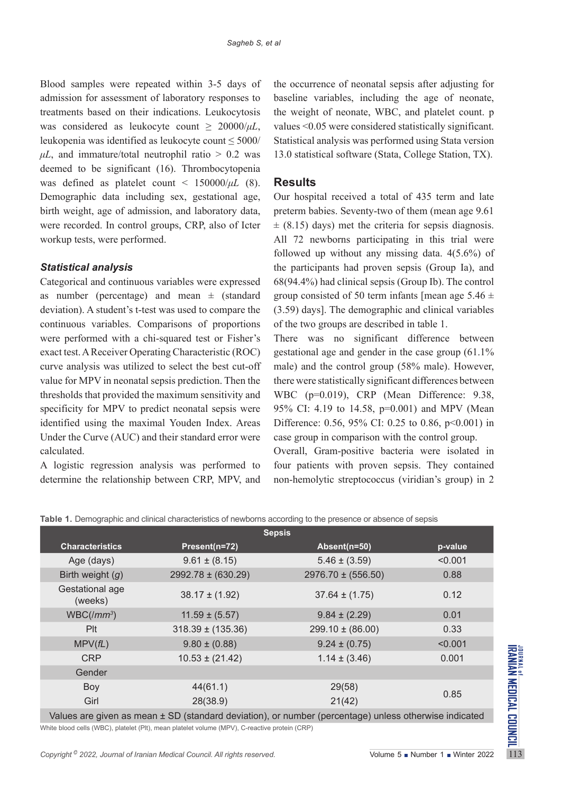Blood samples were repeated within 3-5 days of admission for assessment of laboratory responses to treatments based on their indications. Leukocytosis was considered as leukocyte count  $\geq 20000/\mu L$ , leukopenia was identified as leukocyte count ≤ 5000/  $\mu L$ , and immature/total neutrophil ratio  $> 0.2$  was deemed to be significant (16). Thrombocytopenia was defined as platelet count < 150000/*μL* (8). Demographic data including sex, gestational age, birth weight, age of admission, and laboratory data, were recorded. In control groups, CRP, also of Icter workup tests, were performed.

# *Statistical analysis*

Categorical and continuous variables were expressed as number (percentage) and mean  $\pm$  (standard deviation). A student's t-test was used to compare the continuous variables. Comparisons of proportions were performed with a chi-squared test or Fisher's exact test. A Receiver Operating Characteristic (ROC) curve analysis was utilized to select the best cut-off value for MPV in neonatal sepsis prediction. Then the thresholds that provided the maximum sensitivity and specificity for MPV to predict neonatal sepsis were identified using the maximal Youden Index. Areas Under the Curve (AUC) and their standard error were calculated.

A logistic regression analysis was performed to determine the relationship between CRP, MPV, and

the occurrence of neonatal sepsis after adjusting for baseline variables, including the age of neonate, the weight of neonate, WBC, and platelet count. p values <0.05 were considered statistically significant. Statistical analysis was performed using Stata version 13.0 statistical software (Stata, College Station, TX).

# **Results**

Our hospital received a total of 435 term and late preterm babies. Seventy-two of them (mean age 9.61  $\pm$  (8.15) days) met the criteria for sepsis diagnosis. All 72 newborns participating in this trial were followed up without any missing data. 4(5.6%) of the participants had proven sepsis (Group Ia), and 68(94.4%) had clinical sepsis (Group Ib). The control group consisted of 50 term infants [mean age  $5.46 \pm$ (3.59) days]. The demographic and clinical variables of the two groups are described in table 1.

There was no significant difference between gestational age and gender in the case group (61.1% male) and the control group (58% male). However, there were statistically significant differences between WBC (p=0.019), CRP (Mean Difference: 9.38, 95% CI: 4.19 to 14.58, p=0.001) and MPV (Mean Difference: 0.56, 95% CI: 0.25 to 0.86, p<0.001) in case group in comparison with the control group.

Overall, Gram-positive bacteria were isolated in four patients with proven sepsis. They contained non-hemolytic streptococcus (viridian's group) in 2

|  | Table 1. Demographic and clinical characteristics of newborns according to the presence or absence of sepsis |  |  |
|--|--------------------------------------------------------------------------------------------------------------|--|--|
|  |                                                                                                              |  |  |

| <b>Sepsis</b>                                                                                                                                        |                        |                        |         |  |  |  |  |  |
|------------------------------------------------------------------------------------------------------------------------------------------------------|------------------------|------------------------|---------|--|--|--|--|--|
| <b>Characteristics</b>                                                                                                                               | Present(n=72)          | Absent(n=50)           | p-value |  |  |  |  |  |
| Age (days)                                                                                                                                           | $9.61 \pm (8.15)$      | $5.46 \pm (3.59)$      | < 0.001 |  |  |  |  |  |
| Birth weight $(g)$                                                                                                                                   | $2992.78 \pm (630.29)$ | $2976.70 \pm (556.50)$ | 0.88    |  |  |  |  |  |
| Gestational age<br>(weeks)                                                                                                                           | $38.17 \pm (1.92)$     | $37.64 \pm (1.75)$     | 0.12    |  |  |  |  |  |
| $WBC/(mm^3)$                                                                                                                                         | $11.59 \pm (5.57)$     | $9.84 \pm (2.29)$      | 0.01    |  |  |  |  |  |
| Plt                                                                                                                                                  | $318.39 \pm (135.36)$  | $299.10 \pm (86.00)$   | 0.33    |  |  |  |  |  |
| MPV(fL)                                                                                                                                              | $9.80 \pm (0.88)$      | $9.24 \pm (0.75)$      | < 0.001 |  |  |  |  |  |
| <b>CRP</b>                                                                                                                                           | $10.53 \pm (21.42)$    | $1.14 \pm (3.46)$      | 0.001   |  |  |  |  |  |
| Gender                                                                                                                                               |                        |                        |         |  |  |  |  |  |
| Boy                                                                                                                                                  | 44(61.1)               | 29(58)                 |         |  |  |  |  |  |
| Girl                                                                                                                                                 | 28(38.9)               | 21(42)                 | 0.85    |  |  |  |  |  |
| Values are given as mean ± SD (standard deviation), or number (percentage) unless otherwise indicated                                                |                        |                        |         |  |  |  |  |  |
| White blood cells (WBC), platelet (Plt), mean platelet volume (MPV), C-reactive protein (CRP)                                                        |                        |                        |         |  |  |  |  |  |
| Copyright <sup>©</sup> 2022, Journal of Iranian Medical Council. All rights reserved.<br>Volume $5 \blacksquare$ Number $1 \blacksquare$ Winter 2022 |                        |                        |         |  |  |  |  |  |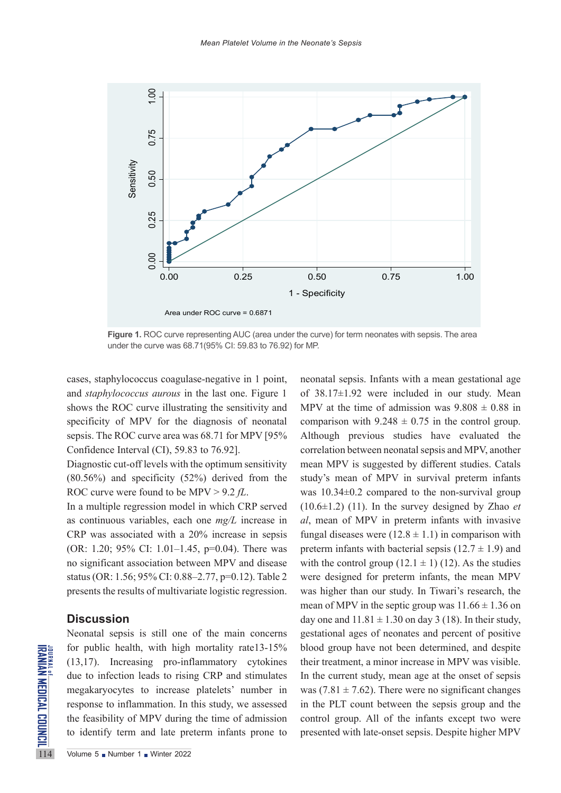

**Figure 1.** ROC curve representing AUC (area under the curve) for term neonates with sepsis. The area under the curve was 68.71(95% CI: 59.83 to 76.92) for MP.

cases, staphylococcus coagulase-negative in 1 point, and *staphylococcus aurous* in the last one. Figure 1 shows the ROC curve illustrating the sensitivity and specificity of MPV for the diagnosis of neonatal sepsis. The ROC curve area was 68.71 for MPV [95% Confidence Interval (CI), 59.83 to 76.92].

Diagnostic cut-off levels with the optimum sensitivity (80.56%) and specificity (52%) derived from the ROC curve were found to be MPV > 9.2 *fL*.

In a multiple regression model in which CRP served as continuous variables, each one *mg/L* increase in CRP was associated with a 20% increase in sepsis (OR: 1.20; 95% CI: 1.01–1.45, p=0.04). There was no significant association between MPV and disease status (OR: 1.56; 95% CI: 0.88–2.77, p=0.12). Table 2 presents the results of multivariate logistic regression.

## **Discussion**

For public health, with high<br>  $\sum_{n=1}^{\infty}$  (13,17). Increasing pro-inf<br>
due to infection leads to risin<br>
megakaryocytes to increase<br>
response to inflammation. In<br>
the feasibility of MPV during<br>
to identify term and late Neonatal sepsis is still one of the main concerns for public health, with high mortality rate13-15% (13,17). Increasing pro-inflammatory cytokines due to infection leads to rising CRP and stimulates megakaryocytes to increase platelets' number in response to inflammation. In this study, we assessed the feasibility of MPV during the time of admission to identify term and late preterm infants prone to

neonatal sepsis. Infants with a mean gestational age of 38.17±1.92 were included in our study. Mean MPV at the time of admission was  $9.808 \pm 0.88$  in comparison with  $9.248 \pm 0.75$  in the control group. Although previous studies have evaluated the correlation between neonatal sepsis and MPV, another mean MPV is suggested by different studies. Catals study's mean of MPV in survival preterm infants was 10.34±0.2 compared to the non-survival group (10.6±1.2) (11). In the survey designed by Zhao *et al*, mean of MPV in preterm infants with invasive fungal diseases were  $(12.8 \pm 1.1)$  in comparison with preterm infants with bacterial sepsis  $(12.7 \pm 1.9)$  and with the control group  $(12.1 \pm 1)$  (12). As the studies were designed for preterm infants, the mean MPV was higher than our study. In Tiwari's research, the mean of MPV in the septic group was  $11.66 \pm 1.36$  on day one and  $11.81 \pm 1.30$  on day 3 (18). In their study, gestational ages of neonates and percent of positive blood group have not been determined, and despite their treatment, a minor increase in MPV was visible. In the current study, mean age at the onset of sepsis was (7.81  $\pm$  7.62). There were no significant changes in the PLT count between the sepsis group and the control group. All of the infants except two were presented with late-onset sepsis. Despite higher MPV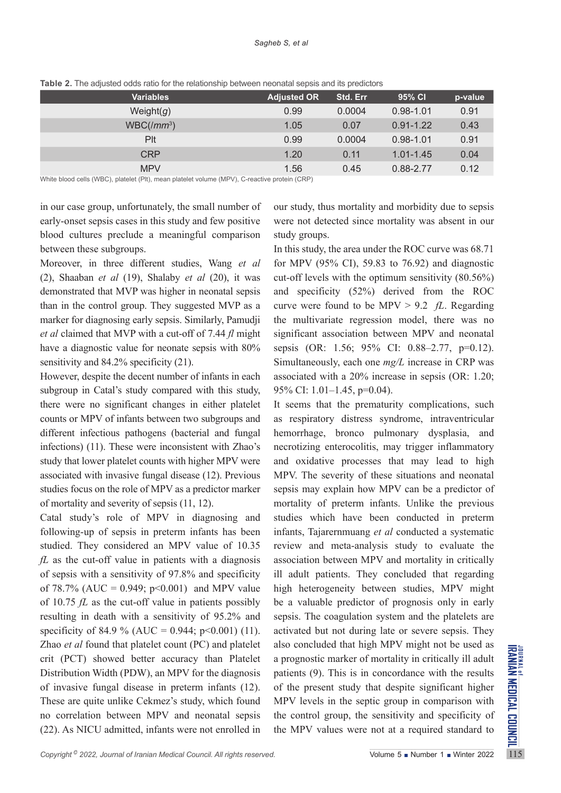| <b>Variables</b> | <b>Adjusted OR</b> | Std. Err | 95% CI        | p-value |
|------------------|--------------------|----------|---------------|---------|
| Weight $(g)$     | 0.99               | 0.0004   | $0.98 - 1.01$ | 0.91    |
| $WBC/(mm^3)$     | 1.05               | 0.07     | $0.91 - 1.22$ | 0.43    |
| Plt              | 0.99               | 0.0004   | $0.98 - 1.01$ | 0.91    |
| <b>CRP</b>       | 1.20               | 0.11     | $1.01 - 1.45$ | 0.04    |
| <b>MPV</b>       | 1.56               | 0.45     | 0.88-2.77     | 0.12    |

**Table 2.** The adjusted odds ratio for the relationship between neonatal sepsis and its predictors

White blood cells (WBC), platelet (Plt), mean platelet volume (MPV), C-reactive protein (CRP)

in our case group, unfortunately, the small number of early-onset sepsis cases in this study and few positive blood cultures preclude a meaningful comparison between these subgroups.

Moreover, in three different studies, Wang *et al* (2), Shaaban *et al* (19), Shalaby *et al* (20), it was demonstrated that MVP was higher in neonatal sepsis than in the control group. They suggested MVP as a marker for diagnosing early sepsis. Similarly, Pamudji *et al* claimed that MVP with a cut-off of 7.44 *fl* might have a diagnostic value for neonate sepsis with 80% sensitivity and 84.2% specificity (21).

However, despite the decent number of infants in each subgroup in Catal's study compared with this study, there were no significant changes in either platelet counts or MPV of infants between two subgroups and different infectious pathogens (bacterial and fungal infections) (11). These were inconsistent with Zhao's study that lower platelet counts with higher MPV were associated with invasive fungal disease (12). Previous studies focus on the role of MPV as a predictor marker of mortality and severity of sepsis (11, 12).

*Copyright* 2022, *Journal of Iranian Medical Council. All rights reserved.* The served is the served in the served in the served in the served in the served in the served in the served in the served in the served in the Catal study's role of MPV in diagnosing and following-up of sepsis in preterm infants has been studied. They considered an MPV value of 10.35 *fL* as the cut-off value in patients with a diagnosis of sepsis with a sensitivity of 97.8% and specificity of 78.7% (AUC = 0.949;  $p<0.001$ ) and MPV value of 10.75 *fL* as the cut-off value in patients possibly resulting in death with a sensitivity of 95.2% and specificity of 84.9 % (AUC = 0.944; p<0.001) (11). Zhao *et al* found that platelet count (PC) and platelet crit (PCT) showed better accuracy than Platelet Distribution Width (PDW), an MPV for the diagnosis of invasive fungal disease in preterm infants (12). These are quite unlike Cekmez's study, which found no correlation between MPV and neonatal sepsis (22). As NICU admitted, infants were not enrolled in

our study, thus mortality and morbidity due to sepsis were not detected since mortality was absent in our study groups.

In this study, the area under the ROC curve was 68.71 for MPV (95% CI), 59.83 to 76.92) and diagnostic cut-off levels with the optimum sensitivity (80.56%) and specificity (52%) derived from the ROC curve were found to be MPV > 9.2 *fL*. Regarding the multivariate regression model, there was no significant association between MPV and neonatal sepsis (OR: 1.56; 95% CI: 0.88–2.77, p=0.12). Simultaneously, each one *mg/L* increase in CRP was associated with a 20% increase in sepsis (OR: 1.20; 95% CI: 1.01–1.45, p=0.04).

It seems that the prematurity complications, such as respiratory distress syndrome, intraventricular hemorrhage, bronco pulmonary dysplasia, and necrotizing enterocolitis, may trigger inflammatory and oxidative processes that may lead to high MPV. The severity of these situations and neonatal sepsis may explain how MPV can be a predictor of mortality of preterm infants. Unlike the previous studies which have been conducted in preterm infants, Tajarernmuang *et al* conducted a systematic review and meta-analysis study to evaluate the association between MPV and mortality in critically ill adult patients. They concluded that regarding high heterogeneity between studies, MPV might be a valuable predictor of prognosis only in early sepsis. The coagulation system and the platelets are activated but not during late or severe sepsis. They also concluded that high MPV might not be used as a prognostic marker of mortality in critically ill adult patients (9). This is in concordance with the results of the present study that despite significant higher MPV levels in the septic group in comparison with the control group, the sensitivity and specificity of the MPV values were not at a required standard to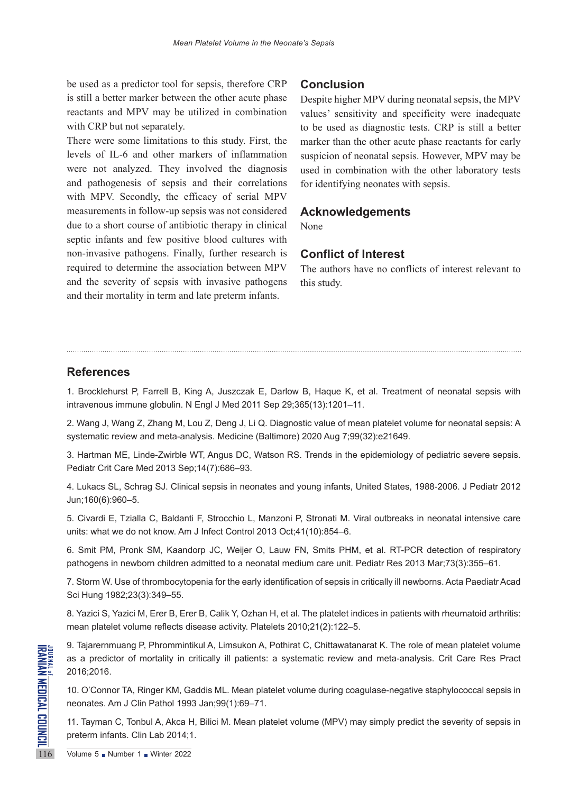# be used as a predictor tool for sepsis, therefore CRP is still a better marker between the other acute phase reactants and MPV may be utilized in combination with CRP but not separately.

There were some limitations to this study. First, the levels of IL-6 and other markers of inflammation were not analyzed. They involved the diagnosis and pathogenesis of sepsis and their correlations with MPV. Secondly, the efficacy of serial MPV measurements in follow-up sepsis was not considered due to a short course of antibiotic therapy in clinical septic infants and few positive blood cultures with non-invasive pathogens. Finally, further research is required to determine the association between MPV and the severity of sepsis with invasive pathogens and their mortality in term and late preterm infants.

## **Conclusion**

Despite higher MPV during neonatal sepsis, the MPV values' sensitivity and specificity were inadequate to be used as diagnostic tests. CRP is still a better marker than the other acute phase reactants for early suspicion of neonatal sepsis. However, MPV may be used in combination with the other laboratory tests for identifying neonates with sepsis.

## **Acknowledgements**

None

# **Conflict of Interest**

The authors have no conflicts of interest relevant to this study.

# **References**

1. Brocklehurst P, Farrell B, King A, Juszczak E, Darlow B, Haque K, et al. Treatment of neonatal sepsis with intravenous immune globulin. N Engl J Med 2011 Sep 29;365(13):1201–11.

2. Wang J, Wang Z, Zhang M, Lou Z, Deng J, Li Q. Diagnostic value of mean platelet volume for neonatal sepsis: A systematic review and meta-analysis. Medicine (Baltimore) 2020 Aug 7;99(32):e21649.

3. Hartman ME, Linde-Zwirble WT, Angus DC, Watson RS. Trends in the epidemiology of pediatric severe sepsis. Pediatr Crit Care Med 2013 Sep;14(7):686–93.

4. Lukacs SL, Schrag SJ. Clinical sepsis in neonates and young infants, United States, 1988-2006. J Pediatr 2012 Jun;160(6):960–5.

5. Civardi E, Tzialla C, Baldanti F, Strocchio L, Manzoni P, Stronati M. Viral outbreaks in neonatal intensive care units: what we do not know. Am J Infect Control 2013 Oct;41(10):854–6.

6. Smit PM, Pronk SM, Kaandorp JC, Weijer O, Lauw FN, Smits PHM, et al. RT-PCR detection of respiratory pathogens in newborn children admitted to a neonatal medium care unit. Pediatr Res 2013 Mar;73(3):355–61.

7. Storm W. Use of thrombocytopenia for the early identification of sepsis in critically ill newborns. Acta Paediatr Acad Sci Hung 1982;23(3):349–55.

8. Yazici S, Yazici M, Erer B, Erer B, Calik Y, Ozhan H, et al. The platelet indices in patients with rheumatoid arthritis: mean platelet volume reflects disease activity. Platelets 2010;21(2):122–5.

Example 5 Number 1 Windows Strategy<br>
2016;2016.<br>
10. O'Connor TA, Ringer KM, Gannonates. Am J Clin Pathol 199<br>
11. Tayman C, Tonbul A, Akca F<br>
preterm infants. Clin Lab 2014;1<br>
116 9. Tajarernmuang P, Phrommintikul A, Limsukon A, Pothirat C, Chittawatanarat K. The role of mean platelet volume as a predictor of mortality in critically ill patients: a systematic review and meta-analysis. Crit Care Res Pract 2016;2016.

10. O'Connor TA, Ringer KM, Gaddis ML. Mean platelet volume during coagulase-negative staphylococcal sepsis in neonates. Am J Clin Pathol 1993 Jan;99(1):69–71.

11. Tayman C, Tonbul A, Akca H, Bilici M. Mean platelet volume (MPV) may simply predict the severity of sepsis in preterm infants. Clin Lab 2014;1.